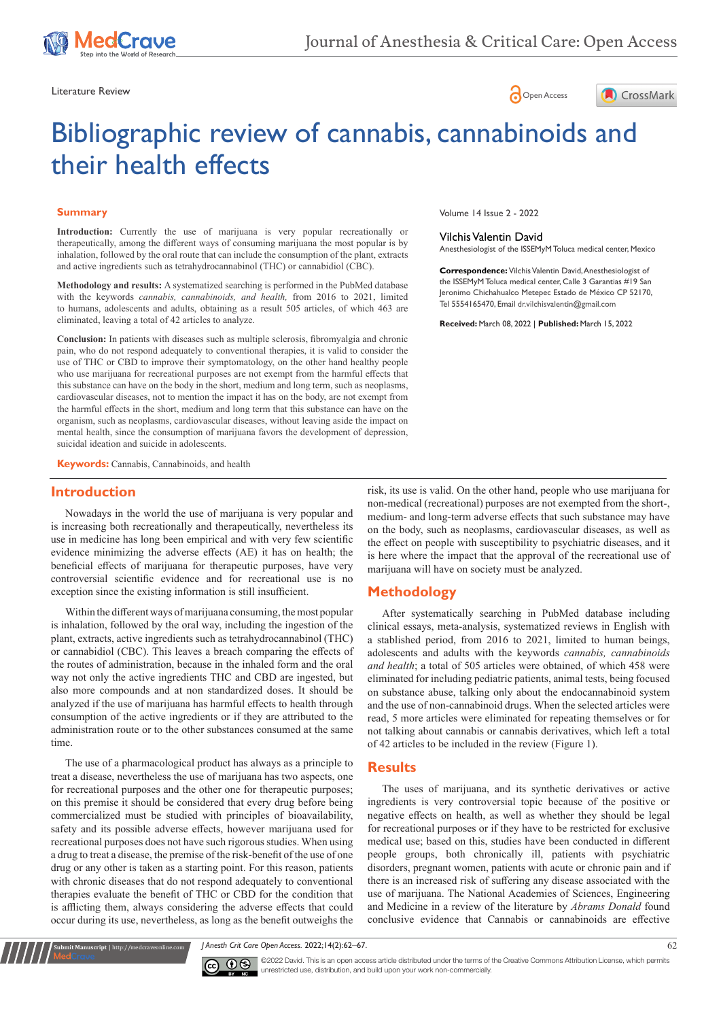





# Bibliographic review of cannabis, cannabinoids and their health effects

# **Summary**

Introduction: Currently the use of marijuana is very popular recreationally or therapeutically, among the different ways of consuming marijuana the most popular is by inhalation, followed by the oral route that can include the consumption of the plant, extracts and active ingredients such as tetrahydrocannabinol (THC) or cannabidiol (CBC).

**Methodology and results:** A systematized searching is performed in the PubMed database with the keywords *cannabis, cannabinoids, and health,* from 2016 to 2021, limited to humans, adolescents and adults, obtaining as a result 505 articles, of which 463 are eliminated, leaving a total of 42 articles to analyze.

**Conclusion:** In patients with diseases such as multiple sclerosis, fibromyalgia and chronic pain, who do not respond adequately to conventional therapies, it is valid to consider the use of THC or CBD to improve their symptomatology, on the other hand healthy people who use marijuana for recreational purposes are not exempt from the harmful effects that this substance can have on the body in the short, medium and long term, such as neoplasms, cardiovascular diseases, not to mention the impact it has on the body, are not exempt from the harmful effects in the short, medium and long term that this substance can have on the organism, such as neoplasms, cardiovascular diseases, without leaving aside the impact on mental health, since the consumption of marijuana favors the development of depression, suicidal ideation and suicide in adolescents.

**Keywords:** Cannabis, Cannabinoids, and health

# **Introduction**

Nowadays in the world the use of marijuana is very popular and is increasing both recreationally and therapeutically, nevertheless its use in medicine has long been empirical and with very few scientific evidence minimizing the adverse effects (AE) it has on health; the beneficial effects of marijuana for therapeutic purposes, have very controversial scientific evidence and for recreational use is no exception since the existing information is still insufficient.

Within the different ways of marijuana consuming, the most popular is inhalation, followed by the oral way, including the ingestion of the plant, extracts, active ingredients such as tetrahydrocannabinol (THC) or cannabidiol (CBC). This leaves a breach comparing the effects of the routes of administration, because in the inhaled form and the oral way not only the active ingredients THC and CBD are ingested, but also more compounds and at non standardized doses. It should be analyzed if the use of marijuana has harmful effects to health through consumption of the active ingredients or if they are attributed to the administration route or to the other substances consumed at the same time.

The use of a pharmacological product has always as a principle to treat a disease, nevertheless the use of marijuana has two aspects, one for recreational purposes and the other one for therapeutic purposes; on this premise it should be considered that every drug before being commercialized must be studied with principles of bioavailability, safety and its possible adverse effects, however marijuana used for recreational purposes does not have such rigorous studies. When using a drug to treat a disease, the premise of the risk-benefit of the use of one drug or any other is taken as a starting point. For this reason, patients with chronic diseases that do not respond adequately to conventional therapies evaluate the benefit of THC or CBD for the condition that is afflicting them, always considering the adverse effects that could occur during its use, nevertheless, as long as the benefit outweighs the

**it Manuscript** | http://medcraveonline.c

Volume 14 Issue 2 - 2022

### Vilchis Valentin David

Anesthesiologist of the ISSEMyM Toluca medical center, Mexico

**Correspondence:** Vilchis Valentin David, Anesthesiologist of the ISSEMyM Toluca medical center, Calle 3 Garantias #19 San Jeronimo Chichahualco Metepec Estado de México CP 52170, Tel 5554165470, Email dr. vilchis valentin@gmail.com

**Received:** March 08, 2022 | **Published:** March 15, 2022

risk, its use is valid. On the other hand, people who use marijuana for non-medical (recreational) purposes are not exempted from the short-, medium- and long-term adverse effects that such substance may have on the body, such as neoplasms, cardiovascular diseases, as well as the effect on people with susceptibility to psychiatric diseases, and it is here where the impact that the approval of the recreational use of marijuana will have on society must be analyzed.

# **Methodology**

After systematically searching in PubMed database including clinical essays, meta-analysis, systematized reviews in English with a stablished period, from 2016 to 2021, limited to human beings, adolescents and adults with the keywords *cannabis, cannabinoids and health*; a total of 505 articles were obtained, of which 458 were eliminated for including pediatric patients, animal tests, being focused on substance abuse, talking only about the endocannabinoid system and the use of non-cannabinoid drugs. When the selected articles were read, 5 more articles were eliminated for repeating themselves or for not talking about cannabis or cannabis derivatives, which left a total of 42 articles to be included in the review (Figure 1).

### **Results**

The uses of marijuana, and its synthetic derivatives or active ingredients is very controversial topic because of the positive or negative effects on health, as well as whether they should be legal for recreational purposes or if they have to be restricted for exclusive medical use; based on this, studies have been conducted in different people groups, both chronically ill, patients with psychiatric disorders, pregnant women, patients with acute or chronic pain and if there is an increased risk of suffering any disease associated with the use of marijuana. The National Academies of Sciences, Engineering and Medicine in a review of the literature by *Abrams Donald* found conclusive evidence that Cannabis or cannabinoids are effective

*J Anesth Crit Care Open Access.* 2022;14(2):62‒67. 62



©2022 David. This is an open access article distributed under the terms of the [Creative Commons Attribution License](https://creativecommons.org/licenses/by-nc/4.0/), which permits unrestricted use, distribution, and build upon your work non-commercially.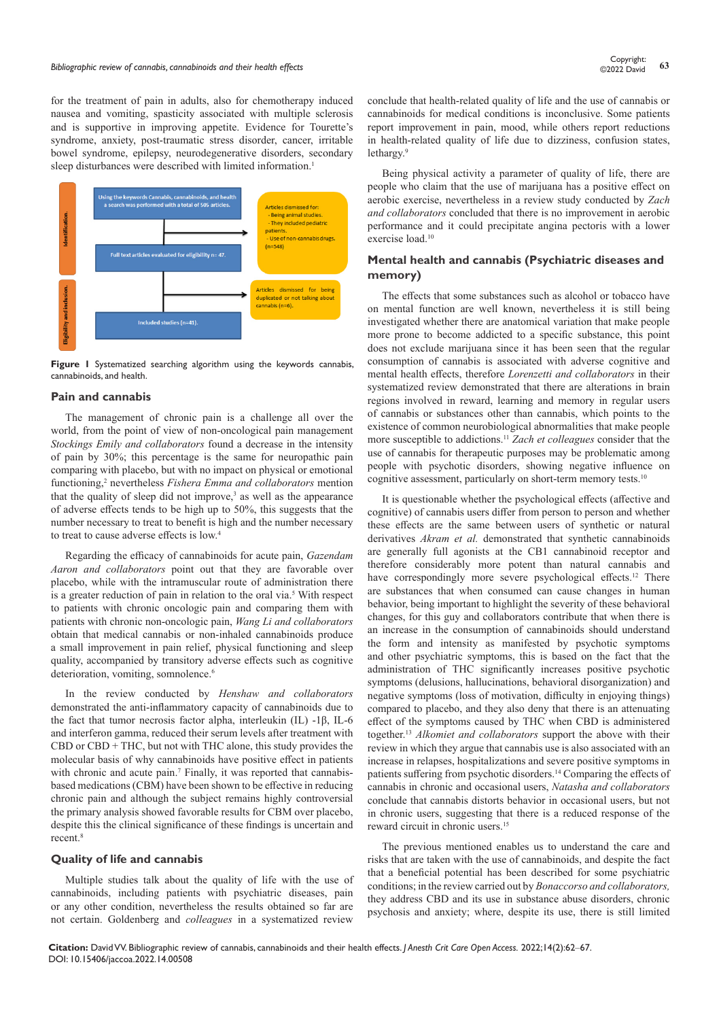for the treatment of pain in adults, also for chemotherapy induced nausea and vomiting, spasticity associated with multiple sclerosis and is supportive in improving appetite. Evidence for Tourette's syndrome, anxiety, post-traumatic stress disorder, cancer, irritable bowel syndrome, epilepsy, neurodegenerative disorders, secondary sleep disturbances were described with limited information.<sup>1</sup>



**Figure 1** Systematized searching algorithm using the keywords cannabis, cannabinoids, and health.

# **Pain and cannabis**

The management of chronic pain is a challenge all over the world, from the point of view of non-oncological pain management *Stockings Emily and collaborators* found a decrease in the intensity of pain by 30%; this percentage is the same for neuropathic pain comparing with placebo, but with no impact on physical or emotional functioning,<sup>2</sup> nevertheless *Fishera Emma and collaborators* mention that the quality of sleep did not improve, $3$  as well as the appearance of adverse effects tends to be high up to 50%, this suggests that the number necessary to treat to benefit is high and the number necessary to treat to cause adverse effects is low.4

Regarding the efficacy of cannabinoids for acute pain, *Gazendam Aaron and collaborators* point out that they are favorable over placebo, while with the intramuscular route of administration there is a greater reduction of pain in relation to the oral via.<sup>5</sup> With respect to patients with chronic oncologic pain and comparing them with patients with chronic non-oncologic pain, *Wang Li and collaborators* obtain that medical cannabis or non-inhaled cannabinoids produce a small improvement in pain relief, physical functioning and sleep quality, accompanied by transitory adverse effects such as cognitive deterioration, vomiting, somnolence.<sup>6</sup>

In the review conducted by *Henshaw and collaborators* demonstrated the anti-inflammatory capacity of cannabinoids due to the fact that tumor necrosis factor alpha, interleukin (IL) -1β, IL-6 and interferon gamma, reduced their serum levels after treatment with CBD or CBD + THC, but not with THC alone, this study provides the molecular basis of why cannabinoids have positive effect in patients with chronic and acute pain.<sup>7</sup> Finally, it was reported that cannabisbased medications (CBM) have been shown to be effective in reducing chronic pain and although the subject remains highly controversial the primary analysis showed favorable results for CBM over placebo, despite this the clinical significance of these findings is uncertain and  $recent.<sup>8</sup>$ 

### **Quality of life and cannabis**

Multiple studies talk about the quality of life with the use of cannabinoids, including patients with psychiatric diseases, pain or any other condition, nevertheless the results obtained so far are not certain. Goldenberg and *colleagues* in a systematized review

conclude that health-related quality of life and the use of cannabis or cannabinoids for medical conditions is inconclusive. Some patients report improvement in pain, mood, while others report reductions in health-related quality of life due to dizziness, confusion states, lethargy.<sup>9</sup>

Being physical activity a parameter of quality of life, there are people who claim that the use of marijuana has a positive effect on aerobic exercise, nevertheless in a review study conducted by *Zach and collaborators* concluded that there is no improvement in aerobic performance and it could precipitate angina pectoris with a lower exercise load.<sup>10</sup>

# **Mental health and cannabis (Psychiatric diseases and memory)**

The effects that some substances such as alcohol or tobacco have on mental function are well known, nevertheless it is still being investigated whether there are anatomical variation that make people more prone to become addicted to a specific substance, this point does not exclude marijuana since it has been seen that the regular consumption of cannabis is associated with adverse cognitive and mental health effects, therefore *Lorenzetti and collaborators* in their systematized review demonstrated that there are alterations in brain regions involved in reward, learning and memory in regular users of cannabis or substances other than cannabis, which points to the existence of common neurobiological abnormalities that make people more susceptible to addictions.<sup>11</sup> *Zach et colleagues* consider that the use of cannabis for therapeutic purposes may be problematic among people with psychotic disorders, showing negative influence on cognitive assessment, particularly on short-term memory tests.<sup>10</sup>

It is questionable whether the psychological effects (affective and cognitive) of cannabis users differ from person to person and whether these effects are the same between users of synthetic or natural derivatives *Akram et al.* demonstrated that synthetic cannabinoids are generally full agonists at the CB1 cannabinoid receptor and therefore considerably more potent than natural cannabis and have correspondingly more severe psychological effects.<sup>12</sup> There are substances that when consumed can cause changes in human behavior, being important to highlight the severity of these behavioral changes, for this guy and collaborators contribute that when there is an increase in the consumption of cannabinoids should understand the form and intensity as manifested by psychotic symptoms and other psychiatric symptoms, this is based on the fact that the administration of THC significantly increases positive psychotic symptoms (delusions, hallucinations, behavioral disorganization) and negative symptoms (loss of motivation, difficulty in enjoying things) compared to placebo, and they also deny that there is an attenuating effect of the symptoms caused by THC when CBD is administered together.13 *Alkomiet and collaborators* support the above with their review in which they argue that cannabis use is also associated with an increase in relapses, hospitalizations and severe positive symptoms in patients suffering from psychotic disorders.14 Comparing the effects of cannabis in chronic and occasional users, *Natasha and collaborators* conclude that cannabis distorts behavior in occasional users, but not in chronic users, suggesting that there is a reduced response of the reward circuit in chronic users.15

The previous mentioned enables us to understand the care and risks that are taken with the use of cannabinoids, and despite the fact that a beneficial potential has been described for some psychiatric conditions; in the review carried out by *Bonaccorso and collaborators,* they address CBD and its use in substance abuse disorders, chronic psychosis and anxiety; where, despite its use, there is still limited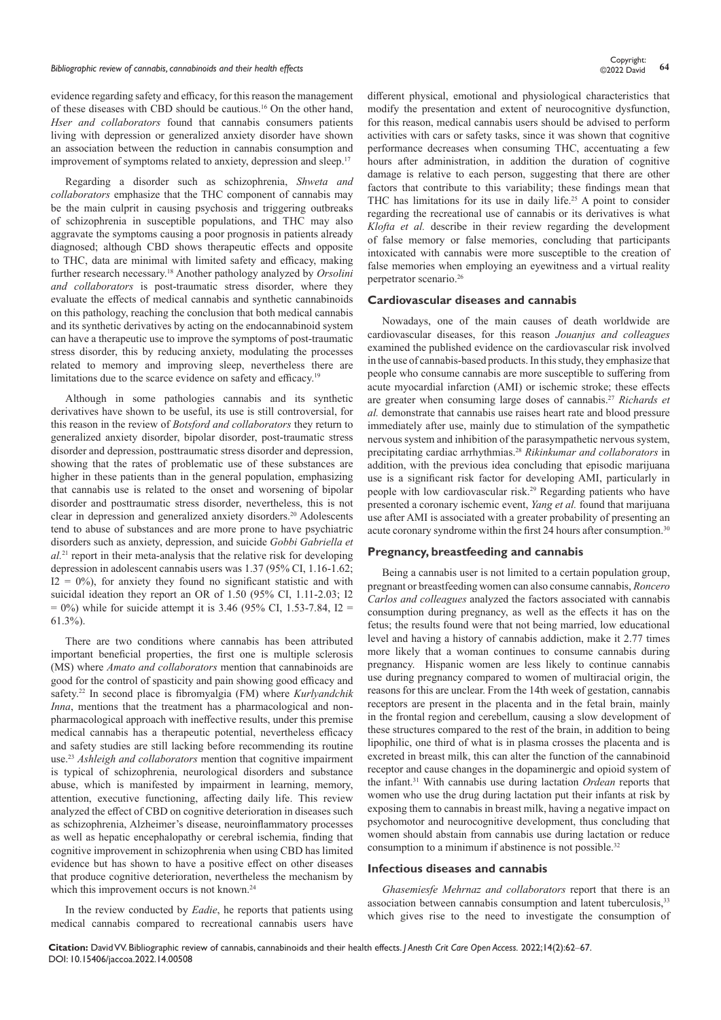# *Bibliographic review of cannabis, cannabinoids and their health effects* **<sup>64</sup>** Copyright:

evidence regarding safety and efficacy, for this reason the management of these diseases with CBD should be cautious.<sup>16</sup> On the other hand, *Hser and collaborators* found that cannabis consumers patients living with depression or generalized anxiety disorder have shown an association between the reduction in cannabis consumption and improvement of symptoms related to anxiety, depression and sleep.<sup>17</sup>

Regarding a disorder such as schizophrenia, *Shweta and collaborators* emphasize that the THC component of cannabis may be the main culprit in causing psychosis and triggering outbreaks of schizophrenia in susceptible populations, and THC may also aggravate the symptoms causing a poor prognosis in patients already diagnosed; although CBD shows therapeutic effects and opposite to THC, data are minimal with limited safety and efficacy, making further research necessary.18 Another pathology analyzed by *Orsolini and collaborators* is post-traumatic stress disorder, where they evaluate the effects of medical cannabis and synthetic cannabinoids on this pathology, reaching the conclusion that both medical cannabis and its synthetic derivatives by acting on the endocannabinoid system can have a therapeutic use to improve the symptoms of post-traumatic stress disorder, this by reducing anxiety, modulating the processes related to memory and improving sleep, nevertheless there are limitations due to the scarce evidence on safety and efficacy.<sup>19</sup>

Although in some pathologies cannabis and its synthetic derivatives have shown to be useful, its use is still controversial, for this reason in the review of *Botsford and collaborators* they return to generalized anxiety disorder, bipolar disorder, post-traumatic stress disorder and depression, posttraumatic stress disorder and depression, showing that the rates of problematic use of these substances are higher in these patients than in the general population, emphasizing that cannabis use is related to the onset and worsening of bipolar disorder and posttraumatic stress disorder, nevertheless, this is not clear in depression and generalized anxiety disorders.<sup>20</sup> Adolescents tend to abuse of substances and are more prone to have psychiatric disorders such as anxiety, depression, and suicide *Gobbi Gabriella et al.*21 report in their meta-analysis that the relative risk for developing depression in adolescent cannabis users was 1.37 (95% CI, 1.16-1.62;  $I2 = 0\%$ , for anxiety they found no significant statistic and with suicidal ideation they report an OR of 1.50 (95% CI, 1.11-2.03; I2  $= 0\%$ ) while for suicide attempt it is 3.46 (95% CI, 1.53-7.84, I2 = 61.3%).

There are two conditions where cannabis has been attributed important beneficial properties, the first one is multiple sclerosis (MS) where *Amato and collaborators* mention that cannabinoids are good for the control of spasticity and pain showing good efficacy and safety.<sup>22</sup> In second place is fibromyalgia (FM) where *Kurlyandchik Inna*, mentions that the treatment has a pharmacological and nonpharmacological approach with ineffective results, under this premise medical cannabis has a therapeutic potential, nevertheless efficacy and safety studies are still lacking before recommending its routine use.23 *Ashleigh and collaborators* mention that cognitive impairment is typical of schizophrenia, neurological disorders and substance abuse, which is manifested by impairment in learning, memory, attention, executive functioning, affecting daily life. This review analyzed the effect of CBD on cognitive deterioration in diseases such as schizophrenia, Alzheimer's disease, neuroinflammatory processes as well as hepatic encephalopathy or cerebral ischemia, finding that cognitive improvement in schizophrenia when using CBD has limited evidence but has shown to have a positive effect on other diseases that produce cognitive deterioration, nevertheless the mechanism by which this improvement occurs is not known.<sup>24</sup>

In the review conducted by *Eadie*, he reports that patients using medical cannabis compared to recreational cannabis users have

different physical, emotional and physiological characteristics that modify the presentation and extent of neurocognitive dysfunction, for this reason, medical cannabis users should be advised to perform activities with cars or safety tasks, since it was shown that cognitive performance decreases when consuming THC, accentuating a few hours after administration, in addition the duration of cognitive damage is relative to each person, suggesting that there are other factors that contribute to this variability; these findings mean that THC has limitations for its use in daily life.<sup>25</sup> A point to consider regarding the recreational use of cannabis or its derivatives is what *Klofta et al.* describe in their review regarding the development of false memory or false memories, concluding that participants intoxicated with cannabis were more susceptible to the creation of false memories when employing an eyewitness and a virtual reality perpetrator scenario.<sup>26</sup>

### **Cardiovascular diseases and cannabis**

Nowadays, one of the main causes of death worldwide are cardiovascular diseases, for this reason *Jouanjus and colleagues* examined the published evidence on the cardiovascular risk involved in the use of cannabis-based products. In this study, they emphasize that people who consume cannabis are more susceptible to suffering from acute myocardial infarction (AMI) or ischemic stroke; these effects are greater when consuming large doses of cannabis.<sup>27</sup> *Richards et al.* demonstrate that cannabis use raises heart rate and blood pressure immediately after use, mainly due to stimulation of the sympathetic nervous system and inhibition of the parasympathetic nervous system, precipitating cardiac arrhythmias.28 *Rikinkumar and collaborators* in addition, with the previous idea concluding that episodic marijuana use is a significant risk factor for developing AMI, particularly in people with low cardiovascular risk.<sup>29</sup> Regarding patients who have presented a coronary ischemic event, *Yang et al.* found that marijuana use after AMI is associated with a greater probability of presenting an acute coronary syndrome within the first 24 hours after consumption.<sup>31</sup>

# **Pregnancy, breastfeeding and cannabis**

Being a cannabis user is not limited to a certain population group, pregnant or breastfeeding women can also consume cannabis, *Roncero Carlos and colleagues* analyzed the factors associated with cannabis consumption during pregnancy, as well as the effects it has on the fetus; the results found were that not being married, low educational level and having a history of cannabis addiction, make it 2.77 times more likely that a woman continues to consume cannabis during pregnancy. Hispanic women are less likely to continue cannabis use during pregnancy compared to women of multiracial origin, the reasons for this are unclear. From the 14th week of gestation, cannabis receptors are present in the placenta and in the fetal brain, mainly in the frontal region and cerebellum, causing a slow development of these structures compared to the rest of the brain, in addition to being lipophilic, one third of what is in plasma crosses the placenta and is excreted in breast milk, this can alter the function of the cannabinoid receptor and cause changes in the dopaminergic and opioid system of the infant.31 With cannabis use during lactation *Ordean* reports that women who use the drug during lactation put their infants at risk by exposing them to cannabis in breast milk, having a negative impact on psychomotor and neurocognitive development, thus concluding that women should abstain from cannabis use during lactation or reduce consumption to a minimum if abstinence is not possible.<sup>32</sup>

### **Infectious diseases and cannabis**

*Ghasemiesfe Mehrnaz and collaborators* report that there is an association between cannabis consumption and latent tuberculosis,<sup>33</sup> which gives rise to the need to investigate the consumption of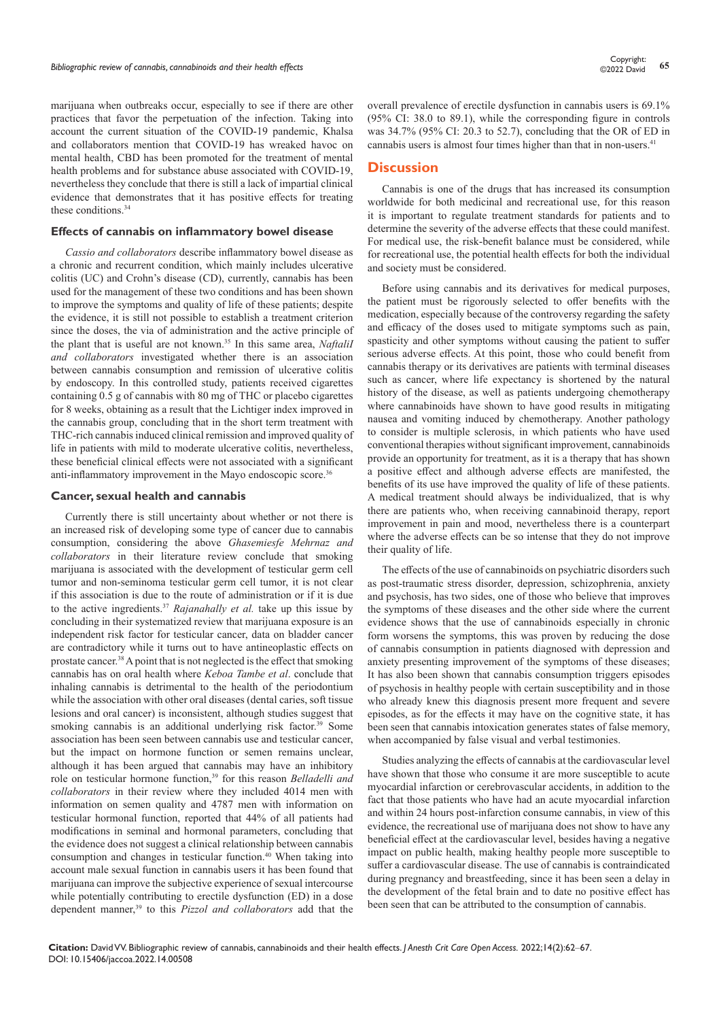marijuana when outbreaks occur, especially to see if there are other practices that favor the perpetuation of the infection. Taking into account the current situation of the COVID-19 pandemic, Khalsa and collaborators mention that COVID-19 has wreaked havoc on mental health, CBD has been promoted for the treatment of mental health problems and for substance abuse associated with COVID-19, nevertheless they conclude that there is still a lack of impartial clinical evidence that demonstrates that it has positive effects for treating these conditions.<sup>34</sup>

### **Effects of cannabis on inflammatory bowel disease**

*Cassio and collaborators* describe inflammatory bowel disease as a chronic and recurrent condition, which mainly includes ulcerative colitis (UC) and Crohn's disease (CD), currently, cannabis has been used for the management of these two conditions and has been shown to improve the symptoms and quality of life of these patients; despite the evidence, it is still not possible to establish a treatment criterion since the doses, the via of administration and the active principle of the plant that is useful are not known.35 In this same area, *NaftaliI and collaborators* investigated whether there is an association between cannabis consumption and remission of ulcerative colitis by endoscopy. In this controlled study, patients received cigarettes containing 0.5 g of cannabis with 80 mg of THC or placebo cigarettes for 8 weeks, obtaining as a result that the Lichtiger index improved in the cannabis group, concluding that in the short term treatment with THC-rich cannabis induced clinical remission and improved quality of life in patients with mild to moderate ulcerative colitis, nevertheless, these beneficial clinical effects were not associated with a significant anti-inflammatory improvement in the Mayo endoscopic score.<sup>36</sup>

# **Cancer, sexual health and cannabis**

Currently there is still uncertainty about whether or not there is an increased risk of developing some type of cancer due to cannabis consumption, considering the above *Ghasemiesfe Mehrnaz and collaborators* in their literature review conclude that smoking marijuana is associated with the development of testicular germ cell tumor and non-seminoma testicular germ cell tumor, it is not clear if this association is due to the route of administration or if it is due to the active ingredients.37 *Rajanahally et al.* take up this issue by concluding in their systematized review that marijuana exposure is an independent risk factor for testicular cancer, data on bladder cancer are contradictory while it turns out to have antineoplastic effects on prostate cancer.38 A point that is not neglected is the effect that smoking cannabis has on oral health where *Keboa Tambe et al*. conclude that inhaling cannabis is detrimental to the health of the periodontium while the association with other oral diseases (dental caries, soft tissue lesions and oral cancer) is inconsistent, although studies suggest that smoking cannabis is an additional underlying risk factor.<sup>39</sup> Some association has been seen between cannabis use and testicular cancer, but the impact on hormone function or semen remains unclear, although it has been argued that cannabis may have an inhibitory role on testicular hormone function,<sup>39</sup> for this reason *Belladelli and collaborators* in their review where they included 4014 men with information on semen quality and 4787 men with information on testicular hormonal function, reported that 44% of all patients had modifications in seminal and hormonal parameters, concluding that the evidence does not suggest a clinical relationship between cannabis consumption and changes in testicular function.40 When taking into account male sexual function in cannabis users it has been found that marijuana can improve the subjective experience of sexual intercourse while potentially contributing to erectile dysfunction (ED) in a dose dependent manner,<sup>39</sup> to this *Pizzol and collaborators* add that the

overall prevalence of erectile dysfunction in cannabis users is 69.1% (95% CI: 38.0 to 89.1), while the corresponding figure in controls was 34.7% (95% CI: 20.3 to 52.7), concluding that the OR of ED in cannabis users is almost four times higher than that in non-users.<sup>41</sup>

# **Discussion**

Cannabis is one of the drugs that has increased its consumption worldwide for both medicinal and recreational use, for this reason it is important to regulate treatment standards for patients and to determine the severity of the adverse effects that these could manifest. For medical use, the risk-benefit balance must be considered, while for recreational use, the potential health effects for both the individual and society must be considered.

Before using cannabis and its derivatives for medical purposes, the patient must be rigorously selected to offer benefits with the medication, especially because of the controversy regarding the safety and efficacy of the doses used to mitigate symptoms such as pain, spasticity and other symptoms without causing the patient to suffer serious adverse effects. At this point, those who could benefit from cannabis therapy or its derivatives are patients with terminal diseases such as cancer, where life expectancy is shortened by the natural history of the disease, as well as patients undergoing chemotherapy where cannabinoids have shown to have good results in mitigating nausea and vomiting induced by chemotherapy. Another pathology to consider is multiple sclerosis, in which patients who have used conventional therapies without significant improvement, cannabinoids provide an opportunity for treatment, as it is a therapy that has shown a positive effect and although adverse effects are manifested, the benefits of its use have improved the quality of life of these patients. A medical treatment should always be individualized, that is why there are patients who, when receiving cannabinoid therapy, report improvement in pain and mood, nevertheless there is a counterpart where the adverse effects can be so intense that they do not improve their quality of life.

The effects of the use of cannabinoids on psychiatric disorders such as post-traumatic stress disorder, depression, schizophrenia, anxiety and psychosis, has two sides, one of those who believe that improves the symptoms of these diseases and the other side where the current evidence shows that the use of cannabinoids especially in chronic form worsens the symptoms, this was proven by reducing the dose of cannabis consumption in patients diagnosed with depression and anxiety presenting improvement of the symptoms of these diseases; It has also been shown that cannabis consumption triggers episodes of psychosis in healthy people with certain susceptibility and in those who already knew this diagnosis present more frequent and severe episodes, as for the effects it may have on the cognitive state, it has been seen that cannabis intoxication generates states of false memory, when accompanied by false visual and verbal testimonies.

Studies analyzing the effects of cannabis at the cardiovascular level have shown that those who consume it are more susceptible to acute myocardial infarction or cerebrovascular accidents, in addition to the fact that those patients who have had an acute myocardial infarction and within 24 hours post-infarction consume cannabis, in view of this evidence, the recreational use of marijuana does not show to have any beneficial effect at the cardiovascular level, besides having a negative impact on public health, making healthy people more susceptible to suffer a cardiovascular disease. The use of cannabis is contraindicated during pregnancy and breastfeeding, since it has been seen a delay in the development of the fetal brain and to date no positive effect has been seen that can be attributed to the consumption of cannabis.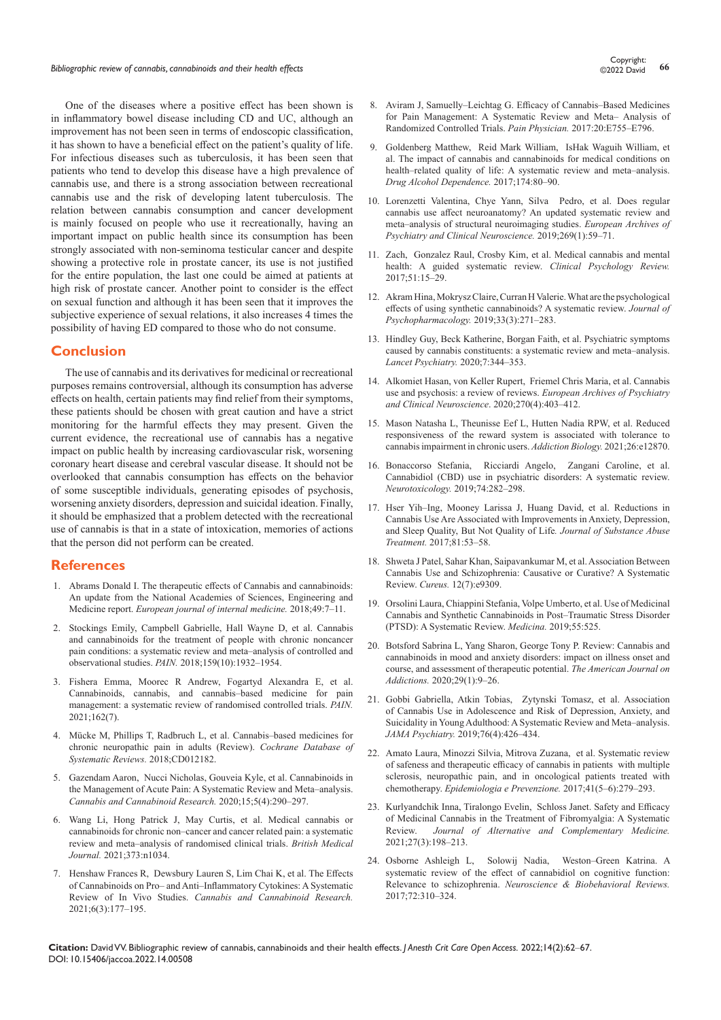One of the diseases where a positive effect has been shown is in inflammatory bowel disease including CD and UC, although an improvement has not been seen in terms of endoscopic classification, it has shown to have a beneficial effect on the patient's quality of life. For infectious diseases such as tuberculosis, it has been seen that patients who tend to develop this disease have a high prevalence of cannabis use, and there is a strong association between recreational cannabis use and the risk of developing latent tuberculosis. The relation between cannabis consumption and cancer development is mainly focused on people who use it recreationally, having an important impact on public health since its consumption has been strongly associated with non-seminoma testicular cancer and despite showing a protective role in prostate cancer, its use is not justified for the entire population, the last one could be aimed at patients at high risk of prostate cancer. Another point to consider is the effect on sexual function and although it has been seen that it improves the subjective experience of sexual relations, it also increases 4 times the possibility of having ED compared to those who do not consume.

# **Conclusion**

The use of cannabis and its derivatives for medicinal or recreational purposes remains controversial, although its consumption has adverse effects on health, certain patients may find relief from their symptoms, these patients should be chosen with great caution and have a strict monitoring for the harmful effects they may present. Given the current evidence, the recreational use of cannabis has a negative impact on public health by increasing cardiovascular risk, worsening coronary heart disease and cerebral vascular disease. It should not be overlooked that cannabis consumption has effects on the behavior of some susceptible individuals, generating episodes of psychosis, worsening anxiety disorders, depression and suicidal ideation. Finally, it should be emphasized that a problem detected with the recreational use of cannabis is that in a state of intoxication, memories of actions that the person did not perform can be created.

# **References**

- 1. [Abrams Donald I. The therapeutic effects of Cannabis and cannabinoids:](https://pubmed.ncbi.nlm.nih.gov/29325791/)  [An update from the National Academies of Sciences, Engineering and](https://pubmed.ncbi.nlm.nih.gov/29325791/)  Medicine report. *European journal of internal medicine*. 2018;49:7-11.
- 2. [Stockings Emily, Campbell Gabrielle, Hall Wayne D, et al. Cannabis](https://journals.lww.com/pain/Abstract/2018/10000/Cannabis_and_cannabinoids_for_the_treatment_of.6.aspx)  [and cannabinoids for the treatment of people with chronic noncancer](https://journals.lww.com/pain/Abstract/2018/10000/Cannabis_and_cannabinoids_for_the_treatment_of.6.aspx)  pain conditions: a systematic review and meta-analysis of controlled and observational studies. *PAIN*. 2018;159(10):1932-1954.
- 3. [Fishera Emma, Moorec R Andrew, Fogartyd Alexandra E, et al.](https://pubmed.ncbi.nlm.nih.gov/32804833/)  Cannabinoids, cannabis, and cannabis-based medicine for pain [management: a systematic review of randomised controlled trials.](https://pubmed.ncbi.nlm.nih.gov/32804833/) *PAIN.* [2021;162\(7\).](https://pubmed.ncbi.nlm.nih.gov/32804833/)
- 4. Mücke M, Phillips T, Radbruch L, et al. Cannabis-based medicines for [chronic neuropathic pain in adults \(Review\).](https://pubmed.ncbi.nlm.nih.gov/29513392/) *Cochrane Database of [Systematic Reviews.](https://pubmed.ncbi.nlm.nih.gov/29513392/)* 2018;CD012182.
- 5. [Gazendam Aaron, Nucci Nicholas, Gouveia Kyle, et al. Cannabinoids in](https://pubmed.ncbi.nlm.nih.gov/33381643/)  the Management of Acute Pain: A Systematic Review and Meta-analysis. *[Cannabis and Cannabinoid Research.](https://pubmed.ncbi.nlm.nih.gov/33381643/)* 2020;15;5(4):290‒297.
- 6. [Wang Li, Hong Patrick J, May Curtis, et al. Medical cannabis or](https://pubmed.ncbi.nlm.nih.gov/34497047/)  cannabinoids for chronic non-cancer and cancer related pain: a systematic [review and meta‒analysis of randomised clinical trials.](https://pubmed.ncbi.nlm.nih.gov/34497047/) *British Medical Journal.* [2021;373:n1034.](https://pubmed.ncbi.nlm.nih.gov/34497047/)
- 7. Henshaw Frances R, Dewsbury Lauren S, Lim Chai K, et al. The Effects of Cannabinoids on Pro- and Anti-Inflammatory Cytokines: A Systematic Review of In Vivo Studies. *Cannabis and Cannabinoid Research.* 2021;6(3):177‒195.
- 8. Aviram J, Samuelly-Leichtag G. Efficacy of Cannabis-Based Medicines for Pain Management: A Systematic Review and Meta- Analysis of [Randomized Controlled Trials.](https://pubmed.ncbi.nlm.nih.gov/28934780/) *Pain Physician.* 2017:20:E755‒E796.
- 9. [Goldenberg Matthew, Reid Mark William, IsHak Waguih William, et](https://pubmed.ncbi.nlm.nih.gov/28319753/)  [al. The impact of cannabis and cannabinoids for medical conditions on](https://pubmed.ncbi.nlm.nih.gov/28319753/)  health-related quality of life: A systematic review and meta-analysis. *[Drug Alcohol Dependence.](https://pubmed.ncbi.nlm.nih.gov/28319753/)* 2017;174:80‒90.
- 10. [Lorenzetti Valentina, Chye Yann, Silva Pedro, et al. Does regular](https://pubmed.ncbi.nlm.nih.gov/30706169/)  [cannabis use affect neuroanatomy? An updated systematic review and](https://pubmed.ncbi.nlm.nih.gov/30706169/)  [meta‒analysis of structural neuroimaging studies.](https://pubmed.ncbi.nlm.nih.gov/30706169/) *European Archives of [Psychiatry and Clinical Neuroscience.](https://pubmed.ncbi.nlm.nih.gov/30706169/)* 2019;269(1):59‒71.
- 11. [Zach, Gonzalez Raul, Crosby Kim, et al. Medical cannabis and mental](https://pubmed.ncbi.nlm.nih.gov/27816801/)  [health: A guided systematic review.](https://pubmed.ncbi.nlm.nih.gov/27816801/) *Clinical Psychology Review.* [2017;51:15‒29.](https://pubmed.ncbi.nlm.nih.gov/27816801/)
- 12. [Akram Hina, Mokrysz Claire, Curran H Valerie. What are the psychological](https://pubmed.ncbi.nlm.nih.gov/30789300/)  [effects of using synthetic cannabinoids? A systematic review.](https://pubmed.ncbi.nlm.nih.gov/30789300/) *Journal of [Psychopharmacology.](https://pubmed.ncbi.nlm.nih.gov/30789300/)* 2019;33(3):271‒283.
- 13. [Hindley Guy, Beck Katherine, Borgan Faith, et al. Psychiatric symptoms](https://www.thelancet.com/journals/lanpsy/article/PIIS2215-0366(20)30074-2/fulltext)  caused by cannabis constituents: a systematic review and meta-analysis. *[Lancet Psychiatry.](https://www.thelancet.com/journals/lanpsy/article/PIIS2215-0366(20)30074-2/fulltext)* 2020;7:344‒353.
- 14. [Alkomiet Hasan, von Keller Rupert, Friemel Chris Maria, et al. Cannabis](https://pubmed.ncbi.nlm.nih.gov/31563981/)  [use and psychosis: a review of reviews.](https://pubmed.ncbi.nlm.nih.gov/31563981/) *European Archives of Psychiatry [and Clinical Neuroscience](https://pubmed.ncbi.nlm.nih.gov/31563981/)*. 2020;270(4):403‒412.
- 15. [Mason Natasha L, Theunisse Eef L, Hutten Nadia RPW, et al. Reduced](https://pubmed.ncbi.nlm.nih.gov/31865628/)  [responsiveness of the reward system is associated with tolerance to](https://pubmed.ncbi.nlm.nih.gov/31865628/)  [cannabis impairment in chronic users.](https://pubmed.ncbi.nlm.nih.gov/31865628/) *Addiction Biology.* 2021;26:e12870.
- 16. [Bonaccorso Stefania, Ricciardi Angelo, Zangani Caroline, et al.](https://pubmed.ncbi.nlm.nih.gov/31412258/)  [Cannabidiol \(CBD\) use in psychiatric disorders: A systematic review.](https://pubmed.ncbi.nlm.nih.gov/31412258/)  *Neurotoxicology.* [2019;74:282‒298.](https://pubmed.ncbi.nlm.nih.gov/31412258/)
- 17. Hser Yih-Ing, Mooney Larissa J, Huang David, et al. Reductions in [Cannabis Use Are Associated with Improvements in Anxiety, Depression,](https://pubmed.ncbi.nlm.nih.gov/28847455/)  [and Sleep Quality, But Not Quality of Life](https://pubmed.ncbi.nlm.nih.gov/28847455/)*. Journal of Substance Abuse Treatment.* [2017;81:53–58.](https://pubmed.ncbi.nlm.nih.gov/28847455/)
- 18. [Shweta J Patel, Sahar Khan, Saipavankumar M, et al. Association Between](https://pubmed.ncbi.nlm.nih.gov/32839678/)  [Cannabis Use and Schizophrenia: Causative or Curative? A Systematic](https://pubmed.ncbi.nlm.nih.gov/32839678/)  Review. *Cureus.* [12\(7\):e9309.](https://pubmed.ncbi.nlm.nih.gov/32839678/)
- 19. [Orsolini Laura, Chiappini Stefania, Volpe Umberto, et al. Use of Medicinal](https://pubmed.ncbi.nlm.nih.gov/31450833/)  Cannabis and Synthetic Cannabinoids in Post-Traumatic Stress Disorder [\(PTSD\): A Systematic Review.](https://pubmed.ncbi.nlm.nih.gov/31450833/) *Medicina.* 2019;55:525.
- 20. [Botsford Sabrina L, Yang Sharon, George Tony P. Review: Cannabis and](https://pubmed.ncbi.nlm.nih.gov/31577377/)  [cannabinoids in mood and anxiety disorders: impact on illness onset and](https://pubmed.ncbi.nlm.nih.gov/31577377/)  [course, and assessment of therapeutic potential.](https://pubmed.ncbi.nlm.nih.gov/31577377/) *The American Journal on Addictions.* [2020;29\(1\):9–26.](https://pubmed.ncbi.nlm.nih.gov/31577377/)
- 21. [Gobbi Gabriella, Atkin Tobias, Zytynski Tomasz, et al. Association](https://pubmed.ncbi.nlm.nih.gov/30758486/)  [of Cannabis Use in Adolescence and Risk of Depression, Anxiety, and](https://pubmed.ncbi.nlm.nih.gov/30758486/)  Suicidality in Young Adulthood: A Systematic Review and Meta-analysis. *JAMA Psychiatry.* [2019;76\(4\):426‒434.](https://pubmed.ncbi.nlm.nih.gov/30758486/)
- 22. [Amato Laura, Minozzi Silvia, Mitrova Zuzana, et al. Systematic review](https://pubmed.ncbi.nlm.nih.gov/29119763/)  [of safeness and therapeutic efficacy of cannabis in patients with multiple](https://pubmed.ncbi.nlm.nih.gov/29119763/)  [sclerosis, neuropathic pain, and in oncological patients treated with](https://pubmed.ncbi.nlm.nih.gov/29119763/)  chemotherapy. *Epidemiologia e Prevenzione*. 2017;41(5-6):279-293.
- 23. [Kurlyandchik Inna, Tiralongo Evelin, Schloss Janet. Safety and Efficacy](https://pubmed.ncbi.nlm.nih.gov/33337931/)  [of Medicinal Cannabis in the Treatment of Fibromyalgia: A Systematic](https://pubmed.ncbi.nlm.nih.gov/33337931/)  Review. *[Journal of Alternative and Complementary Medicine.](https://pubmed.ncbi.nlm.nih.gov/33337931/)* [2021;27\(3\):198‒213.](https://pubmed.ncbi.nlm.nih.gov/33337931/)
- 24. Osborne Ashleigh L, Solowii Nadia, Weston-Green Katrina. A [systematic review of the effect of cannabidiol on cognitive function:](https://pubmed.ncbi.nlm.nih.gov/27884751/)  Relevance to schizophrenia. *[Neuroscience & Biobehavioral Reviews.](https://pubmed.ncbi.nlm.nih.gov/27884751/)* [2017;72:310‒324.](https://pubmed.ncbi.nlm.nih.gov/27884751/)

**Citation:** David VV. Bibliographic review of cannabis, cannabinoids and their health effects. *J Anesth Crit Care Open Access.* 2022;14(2):62‒67. DOI: [10.15406/jaccoa.2022.14.00508](https://doi.org/10.15406/jaccoa.2022.14.00508)